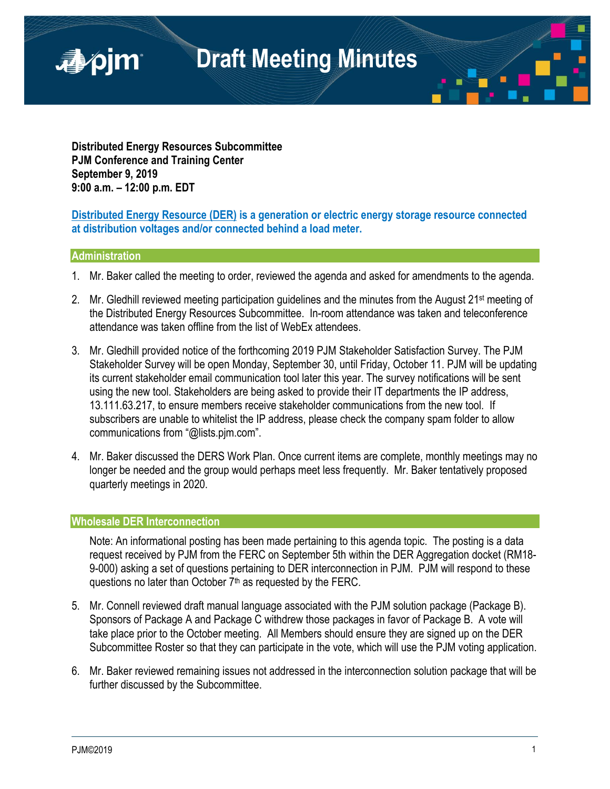

**Distributed Energy Resources Subcommittee PJM Conference and Training Center September 9, 2019 9:00 a.m. – 12:00 p.m. EDT**

**Distributed Energy Resource (DER) is a generation or electric energy storage resource connected at distribution voltages and/or connected behind a load meter.**

#### **Administration**

- 1. Mr. Baker called the meeting to order, reviewed the agenda and asked for amendments to the agenda.
- 2. Mr. Gledhill reviewed meeting participation guidelines and the minutes from the August 21<sup>st</sup> meeting of the Distributed Energy Resources Subcommittee. In-room attendance was taken and teleconference attendance was taken offline from the list of WebEx attendees.
- 3. Mr. Gledhill provided notice of the forthcoming 2019 PJM Stakeholder Satisfaction Survey. The PJM Stakeholder Survey will be open Monday, September 30, until Friday, October 11. PJM will be updating its current stakeholder email communication tool later this year. The survey notifications will be sent using the new tool. Stakeholders are being asked to provide their IT departments the IP address, 13.111.63.217, to ensure members receive stakeholder communications from the new tool. If subscribers are unable to whitelist the IP address, please check the company spam folder to allow communications from "@lists.pjm.com".
- 4. Mr. Baker discussed the DERS Work Plan. Once current items are complete, monthly meetings may no longer be needed and the group would perhaps meet less frequently. Mr. Baker tentatively proposed quarterly meetings in 2020.

### **Wholesale DER Interconnection**

Note: An informational posting has been made pertaining to this agenda topic. The posting is a data request received by PJM from the FERC on September 5th within the DER Aggregation docket (RM18-9-000) asking a set of questions pertaining to DER interconnection in PJM. PJM will respond to these questions no later than October 7<sup>th</sup> as requested by the FERC.

- 5. Mr. Connell reviewed draft manual language associated with the PJM solution package (Package B). Sponsors of Package A and Package C withdrew those packages in favor of Package B. A vote will take place prior to the October meeting. All Members should ensure they are signed up on the DER Subcommittee Roster so that they can participate in the vote, which will use the PJM voting application.
- 6. Mr. Baker reviewed remaining issues not addressed in the interconnection solution package that will be further discussed by the Subcommittee.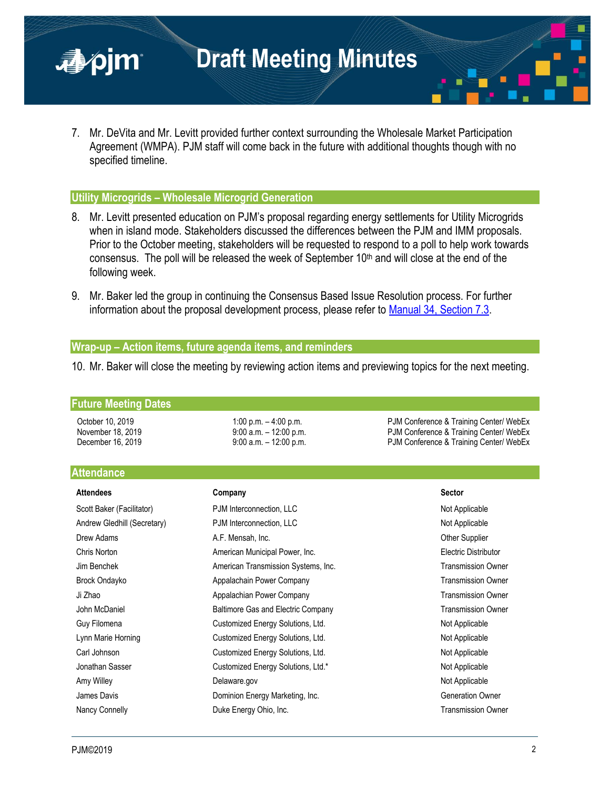

7. Mr. DeVita and Mr. Levitt provided further context surrounding the Wholesale Market Participation Agreement (WMPA). PJM staff will come back in the future with additional thoughts though with no specified timeline.

#### **Utility Microgrids – Wholesale Microgrid Generation**

- 8. Mr. Levitt presented education on PJM's proposal regarding energy settlements for Utility Microgrids when in island mode. Stakeholders discussed the differences between the PJM and IMM proposals. Prior to the October meeting, stakeholders will be requested to respond to a poll to help work towards consensus. The poll will be released the week of September  $10<sup>th</sup>$  and will close at the end of the following week.
- 9. Mr. Baker led the group in continuing the Consensus Based Issue Resolution process. For further information about the proposal development process, please refer to [Manual 34, Section 7.3.](https://www.pjm.com/-/media/documents/manuals/m34.ashx)

### **Wrap-up – Action items, future agenda items, and reminders**

10. Mr. Baker will close the meeting by reviewing action items and previewing topics for the next meeting.

#### **Future Meeting Dates**

October 10, 2019 1:00 p.m. – 4:00 p.m. – 4:00 p.m. PJM Conference & Training Center/ WebEx November 18, 2019 **19:00 a.m.** – 12:00 p.m. **PJM Conference & Training Center/ WebEx** December 16, 2019 **9:00 a.m.** – 12:00 p.m. PJM Conference & Training Center/ WebEx

## **Attendance**

| <b>Attendees</b>            | Company                             | <b>Sector</b>             |
|-----------------------------|-------------------------------------|---------------------------|
| Scott Baker (Facilitator)   | PJM Interconnection, LLC            | Not Applicable            |
| Andrew Gledhill (Secretary) | PJM Interconnection, LLC            | Not Applicable            |
| Drew Adams                  | A.F. Mensah, Inc.                   | <b>Other Supplier</b>     |
| Chris Norton                | American Municipal Power, Inc.      | Electric Distributor      |
| Jim Benchek                 | American Transmission Systems, Inc. | <b>Transmission Owner</b> |
| Brock Ondayko               | Appalachain Power Company           | <b>Transmission Owner</b> |
| Ji Zhao                     | Appalachian Power Company           | <b>Transmission Owner</b> |
| John McDaniel               | Baltimore Gas and Electric Company  | <b>Transmission Owner</b> |
| Guy Filomena                | Customized Energy Solutions, Ltd.   | Not Applicable            |
| Lynn Marie Horning          | Customized Energy Solutions, Ltd.   | Not Applicable            |
| Carl Johnson                | Customized Energy Solutions, Ltd.   | Not Applicable            |
| Jonathan Sasser             | Customized Energy Solutions, Ltd.*  | Not Applicable            |
| Amy Willey                  | Delaware.gov                        | Not Applicable            |
| James Davis                 | Dominion Energy Marketing, Inc.     | <b>Generation Owner</b>   |
| Nancy Connelly              | Duke Energy Ohio, Inc.              | <b>Transmission Owner</b> |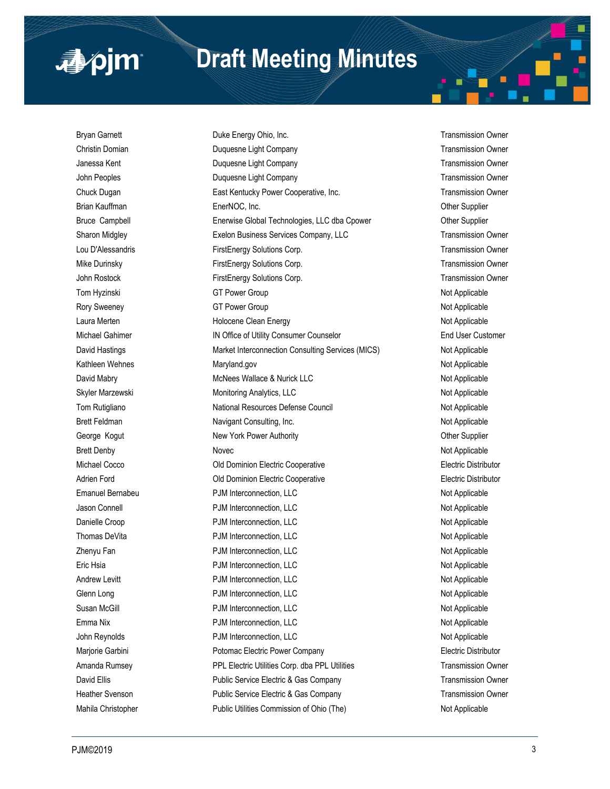# **Draft Meeting Minutes**

■pjm

Bryan Garnett **Example 20** Duke Energy Ohio, Inc. Transmission Owner and Transmission Owner Christin Domian **Duquesne Light Company Christin Domian** Transmission Owner Janessa Kent **Markor Company Company Company** Company Company Company Transmission Owner John Peoples **Duquesne Light Company Company** Transmission Owner Chuck Dugan East Kentucky Power Cooperative, Inc. Transmission Owner Brian Kauffman **EnerNOC, Inc.** Communication Communication Communication Communication Communication Communication Bruce Campbell Enerwise Global Technologies, LLC dba Cpower Other Supplier Sharon Midgley **Exelon Business Services Company, LLC** Transmission Owner Lou D'Alessandris FirstEnergy Solutions Corp. Transmission Owner Mike Durinsky FirstEnergy Solutions Corp. Transmission Owner John Rostock FirstEnergy Solutions Corp. Transmission Owner Tom Hyzinski GT Power Group Not Applicable Not Applicable Rory Sweeney **GT Power Group CGT Power Group** Not Applicable Laura Merten **Not Applicable** Holocene Clean Energy Not Applicable Not Applicable Michael Gahimer **IN Office of Utility Consumer Counselor In All States Customer** Counselor David Hastings **Market Interconnection Consulting Services (MICS)** Not Applicable Kathleen Wehnes **Maryland.gov** Maryland.gov **Not Applicable** Not Applicable David Mabry **MacNees Wallace & Nurick LLC** Not Applicable Not Applicable Skyler Marzewski **Monitoring Analytics, LLC** Not Applicable Tom Rutigliano **National Resources Defense Council** Not Applicable Not Applicable Brett Feldman Navigant Consulting, Inc. The Section Applicable Not Applicable George Kogut **New York Power Authority New York Power Authority New York Power Authority CHO** Brett Denby Novec Novec Not Applicable Novec Not Applicable Michael Cocco **Old Dominion Electric Cooperative Containers Electric Distributor** Electric Distributor Adrien Ford Old Dominion Electric Cooperative Electric Distributor Emanuel Bernabeu **Emanuel Bernabeu** PJM Interconnection, LLC **Not Applicable** Not Applicable Jason Connell PJM Interconnection, LLC Not Applicable Danielle Croop **PJM** Interconnection, LLC **Not Applicable** Not Applicable Thomas DeVita **PJM** Interconnection, LLC **All Connection** Connection and Applicable Zhenyu Fan **PJM Interconnection, LLC** 2008 2009 2012 12:00 Not Applicable Eric Hsia Not Applicable **PJM** Interconnection, LLC **Not Applicable** Not Applicable Andrew Levitt **Andrew Levitt** PJM Interconnection, LLC **Andrew Levitt** Not Applicable Glenn Long **Constant Constant Constant PJM Interconnection, LLC** Not Applicable Not Applicable Susan McGill **Subset Connection, LC** and McGill **PJM** Interconnection, LLC **Not Applicable** Not Applicable Emma Nix **Emma Nix Connection, LLC** Connection, LLC John Reynolds **PJM Interconnection, LLC** Not Applicable Not Applicable Marjorie Garbini Potomac Electric Power Company Electric Distributor Amanda Rumsey **PPL Electric Utilities Corp.** dba PPL Utilities **Network** Transmission Owner David Ellis **Ellis** Public Service Electric & Gas Company **Transmission Owner** Company Heather Svenson **Public Service Electric & Gas Company Transmission Owner Transmission Owner** Mahila Christopher **Public Utilities Commission of Ohio (The)** Not Applicable